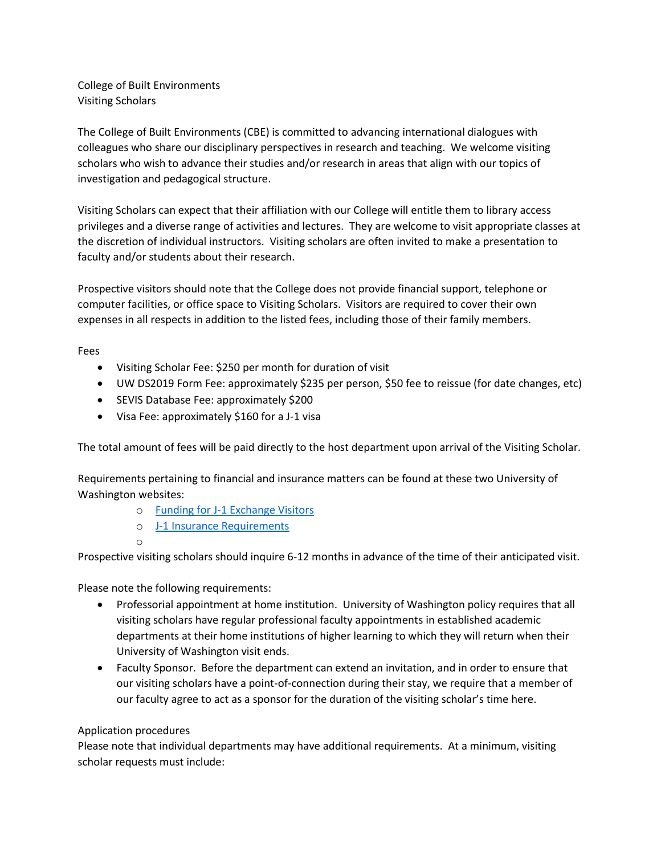College of Built Environments Visiting Scholars

The College of Built Environments (CBE) is committed to advancing international dialogues with colleagues who share our disciplinary perspectives in research and teaching. We welcome visiting scholars who wish to advance their studies and/or research in areas that align with our topics of investigation and pedagogical structure.

Visiting Scholars can expect that their affiliation with our College will entitle them to library access privileges and a diverse range of activities and lectures. They are welcome to visit appropriate classes at the discretion of individual instructors. Visiting scholars are often invited to make a presentation to faculty and/or students about their research.

Prospective visitors should note that the College does not provide financial support, telephone or computer facilities, or office space to Visiting Scholars. Visitors are required to cover their own expenses in all respects in addition to the listed fees, including those of their family members.

Fees

- Visiting Scholar Fee: \$250 per month for duration of visit
- UW DS2019 Form Fee: approximately \$235 per person, \$50 fee to reissue (for date changes, etc)
- SEVIS Database Fee: approximately \$200
- Visa Fee: approximately \$160 for a J-1 visa

The total amount of fees will be paid directly to the host department upon arrival of the Visiting Scholar.

Requirements pertaining to financial and insurance matters can be found at these two University of Washington websites:

- o [Funding for J-1 Exchange Visitors](http://ap.washington.edu/ahr/visas/j1/funding/)
- o [J-1 Insurance Requirements](http://ap.washington.edu/ahr/visas/j1/insurance-requirements/)

o

Prospective visiting scholars should inquire 6-12 months in advance of the time of their anticipated visit.

Please note the following requirements:

- Professorial appointment at home institution. University of Washington policy requires that all visiting scholars have regular professional faculty appointments in established academic departments at their home institutions of higher learning to which they will return when their University of Washington visit ends.
- Faculty Sponsor. Before the department can extend an invitation, and in order to ensure that our visiting scholars have a point-of-connection during their stay, we require that a member of our faculty agree to act as a sponsor for the duration of the visiting scholar's time here.

## Application procedures

Please note that individual departments may have additional requirements. At a minimum, visiting scholar requests must include: